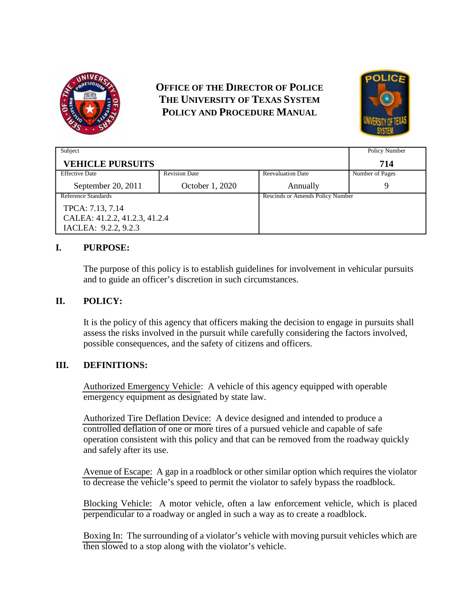

# **OFFICE OF THE DIRECTOR OF POLICE THE UNIVERSITY OF TEXAS SYSTEM POLICY AND PROCEDURE MANUAL**



| Subject                       |                      |                                  | Policy Number   |
|-------------------------------|----------------------|----------------------------------|-----------------|
| <b>VEHICLE PURSUITS</b>       |                      |                                  | 714             |
| <b>Effective Date</b>         | <b>Revision Date</b> | <b>Reevaluation Date</b>         | Number of Pages |
| September 20, 2011            | October 1, 2020      | Annually                         |                 |
| Reference Standards           |                      | Rescinds or Amends Policy Number |                 |
| TPCA: 7.13, 7.14              |                      |                                  |                 |
| CALEA: 41.2.2, 41.2.3, 41.2.4 |                      |                                  |                 |
| IACLEA: 9.2.2, 9.2.3          |                      |                                  |                 |

## **I. PURPOSE:**

The purpose of this policy is to establish guidelines for involvement in vehicular pursuits and to guide an officer's discretion in such circumstances.

## **II. POLICY:**

It is the policy of this agency that officers making the decision to engage in pursuits shall assess the risks involved in the pursuit while carefully considering the factors involved, possible consequences, and the safety of citizens and officers.

### **III. DEFINITIONS:**

Authorized Emergency Vehicle: A vehicle of this agency equipped with operable emergency equipment as designated by state law.

Authorized Tire Deflation Device: A device designed and intended to produce a controlled deflation of one or more tires of a pursued vehicle and capable of safe operation consistent with this policy and that can be removed from the roadway quickly and safely after its use.

Avenue of Escape: A gap in a roadblock or other similar option which requires the violator to decrease the vehicle's speed to permit the violator to safely bypass the roadblock.

Blocking Vehicle: A motor vehicle, often a law enforcement vehicle, which is placed perpendicular to a roadway or angled in such a way as to create a roadblock.

Boxing In: The surrounding of a violator's vehicle with moving pursuit vehicles which are then slowed to a stop along with the violator's vehicle.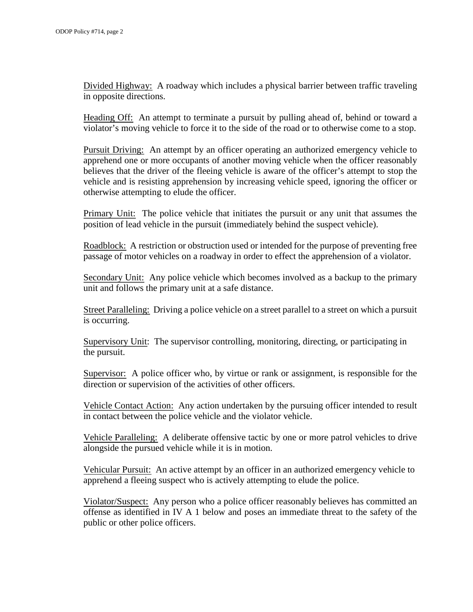Divided Highway: A roadway which includes a physical barrier between traffic traveling in opposite directions.

Heading Off: An attempt to terminate a pursuit by pulling ahead of, behind or toward a violator's moving vehicle to force it to the side of the road or to otherwise come to a stop.

Pursuit Driving: An attempt by an officer operating an authorized emergency vehicle to apprehend one or more occupants of another moving vehicle when the officer reasonably believes that the driver of the fleeing vehicle is aware of the officer's attempt to stop the vehicle and is resisting apprehension by increasing vehicle speed, ignoring the officer or otherwise attempting to elude the officer.

Primary Unit: The police vehicle that initiates the pursuit or any unit that assumes the position of lead vehicle in the pursuit (immediately behind the suspect vehicle).

Roadblock: A restriction or obstruction used or intended for the purpose of preventing free passage of motor vehicles on a roadway in order to effect the apprehension of a violator.

Secondary Unit: Any police vehicle which becomes involved as a backup to the primary unit and follows the primary unit at a safe distance.

Street Paralleling: Driving a police vehicle on a street parallel to a street on which a pursuit is occurring.

Supervisory Unit: The supervisor controlling, monitoring, directing, or participating in the pursuit.

Supervisor: A police officer who, by virtue or rank or assignment, is responsible for the direction or supervision of the activities of other officers.

Vehicle Contact Action: Any action undertaken by the pursuing officer intended to result in contact between the police vehicle and the violator vehicle.

Vehicle Paralleling: A deliberate offensive tactic by one or more patrol vehicles to drive alongside the pursued vehicle while it is in motion.

Vehicular Pursuit: An active attempt by an officer in an authorized emergency vehicle to apprehend a fleeing suspect who is actively attempting to elude the police.

Violator/Suspect: Any person who a police officer reasonably believes has committed an offense as identified in IV A 1 below and poses an immediate threat to the safety of the public or other police officers.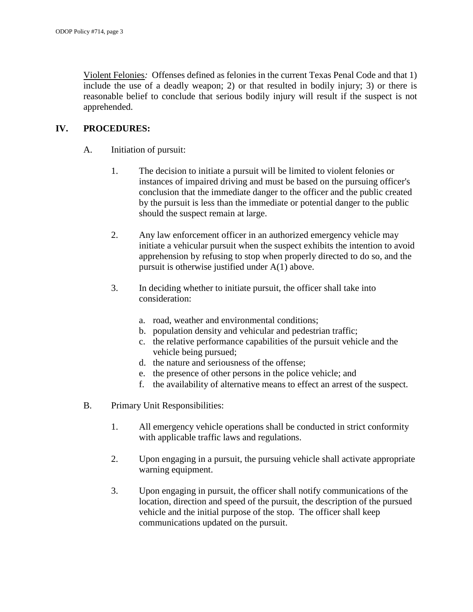Violent Felonies*:* Offenses defined as felonies in the current Texas Penal Code and that 1) include the use of a deadly weapon; 2) or that resulted in bodily injury; 3) or there is reasonable belief to conclude that serious bodily injury will result if the suspect is not apprehended.

## **IV. PROCEDURES:**

- A. Initiation of pursuit:
	- 1. The decision to initiate a pursuit will be limited to violent felonies or instances of impaired driving and must be based on the pursuing officer's conclusion that the immediate danger to the officer and the public created by the pursuit is less than the immediate or potential danger to the public should the suspect remain at large.
	- 2. Any law enforcement officer in an authorized emergency vehicle may initiate a vehicular pursuit when the suspect exhibits the intention to avoid apprehension by refusing to stop when properly directed to do so, and the pursuit is otherwise justified under A(1) above.
	- 3. In deciding whether to initiate pursuit, the officer shall take into consideration:
		- a. road, weather and environmental conditions;
		- b. population density and vehicular and pedestrian traffic;
		- c. the relative performance capabilities of the pursuit vehicle and the vehicle being pursued;
		- d. the nature and seriousness of the offense;
		- e. the presence of other persons in the police vehicle; and
		- f. the availability of alternative means to effect an arrest of the suspect.
- B. Primary Unit Responsibilities:
	- 1. All emergency vehicle operations shall be conducted in strict conformity with applicable traffic laws and regulations.
	- 2. Upon engaging in a pursuit, the pursuing vehicle shall activate appropriate warning equipment.
	- 3. Upon engaging in pursuit, the officer shall notify communications of the location, direction and speed of the pursuit, the description of the pursued vehicle and the initial purpose of the stop. The officer shall keep communications updated on the pursuit.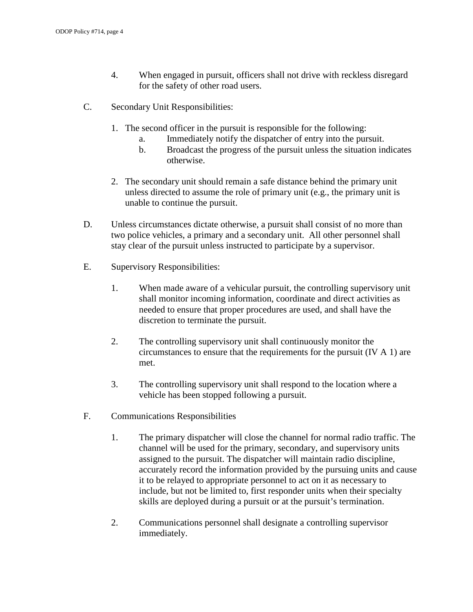- 4. When engaged in pursuit, officers shall not drive with reckless disregard for the safety of other road users.
- C. Secondary Unit Responsibilities:
	- 1. The second officer in the pursuit is responsible for the following:
		- a. Immediately notify the dispatcher of entry into the pursuit.
		- b. Broadcast the progress of the pursuit unless the situation indicates otherwise.
	- 2. The secondary unit should remain a safe distance behind the primary unit unless directed to assume the role of primary unit (e.g., the primary unit is unable to continue the pursuit.
- D. Unless circumstances dictate otherwise, a pursuit shall consist of no more than two police vehicles, a primary and a secondary unit. All other personnel shall stay clear of the pursuit unless instructed to participate by a supervisor.
- E. Supervisory Responsibilities:
	- 1. When made aware of a vehicular pursuit, the controlling supervisory unit shall monitor incoming information, coordinate and direct activities as needed to ensure that proper procedures are used, and shall have the discretion to terminate the pursuit.
	- 2. The controlling supervisory unit shall continuously monitor the circumstances to ensure that the requirements for the pursuit (IV A 1) are met.
	- 3. The controlling supervisory unit shall respond to the location where a vehicle has been stopped following a pursuit.
- F. Communications Responsibilities
	- 1. The primary dispatcher will close the channel for normal radio traffic. The channel will be used for the primary, secondary, and supervisory units assigned to the pursuit. The dispatcher will maintain radio discipline, accurately record the information provided by the pursuing units and cause it to be relayed to appropriate personnel to act on it as necessary to include, but not be limited to, first responder units when their specialty skills are deployed during a pursuit or at the pursuit's termination.
	- 2. Communications personnel shall designate a controlling supervisor immediately.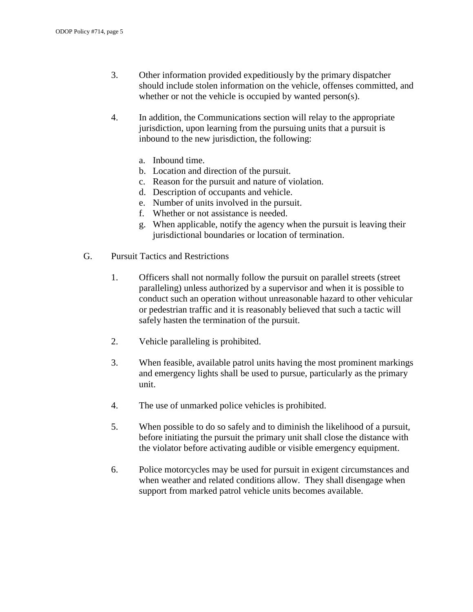- 3. Other information provided expeditiously by the primary dispatcher should include stolen information on the vehicle, offenses committed, and whether or not the vehicle is occupied by wanted person(s).
- 4. In addition, the Communications section will relay to the appropriate jurisdiction, upon learning from the pursuing units that a pursuit is inbound to the new jurisdiction, the following:
	- a. Inbound time.
	- b. Location and direction of the pursuit.
	- c. Reason for the pursuit and nature of violation.
	- d. Description of occupants and vehicle.
	- e. Number of units involved in the pursuit.
	- f. Whether or not assistance is needed.
	- g. When applicable, notify the agency when the pursuit is leaving their jurisdictional boundaries or location of termination.
- G. Pursuit Tactics and Restrictions
	- 1. Officers shall not normally follow the pursuit on parallel streets (street paralleling) unless authorized by a supervisor and when it is possible to conduct such an operation without unreasonable hazard to other vehicular or pedestrian traffic and it is reasonably believed that such a tactic will safely hasten the termination of the pursuit.
	- 2. Vehicle paralleling is prohibited.
	- 3. When feasible, available patrol units having the most prominent markings and emergency lights shall be used to pursue, particularly as the primary unit.
	- 4. The use of unmarked police vehicles is prohibited.
	- 5. When possible to do so safely and to diminish the likelihood of a pursuit, before initiating the pursuit the primary unit shall close the distance with the violator before activating audible or visible emergency equipment.
	- 6. Police motorcycles may be used for pursuit in exigent circumstances and when weather and related conditions allow. They shall disengage when support from marked patrol vehicle units becomes available.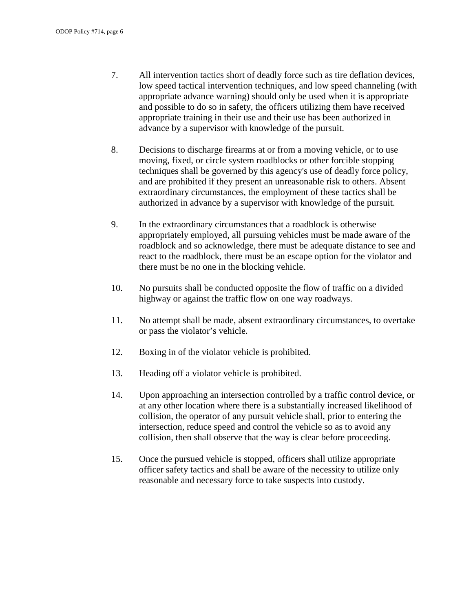- 7. All intervention tactics short of deadly force such as tire deflation devices, low speed tactical intervention techniques, and low speed channeling (with appropriate advance warning) should only be used when it is appropriate and possible to do so in safety, the officers utilizing them have received appropriate training in their use and their use has been authorized in advance by a supervisor with knowledge of the pursuit.
- 8. Decisions to discharge firearms at or from a moving vehicle, or to use moving, fixed, or circle system roadblocks or other forcible stopping techniques shall be governed by this agency's use of deadly force policy, and are prohibited if they present an unreasonable risk to others. Absent extraordinary circumstances, the employment of these tactics shall be authorized in advance by a supervisor with knowledge of the pursuit.
- 9. In the extraordinary circumstances that a roadblock is otherwise appropriately employed, all pursuing vehicles must be made aware of the roadblock and so acknowledge, there must be adequate distance to see and react to the roadblock, there must be an escape option for the violator and there must be no one in the blocking vehicle.
- 10. No pursuits shall be conducted opposite the flow of traffic on a divided highway or against the traffic flow on one way roadways.
- 11. No attempt shall be made, absent extraordinary circumstances, to overtake or pass the violator's vehicle.
- 12. Boxing in of the violator vehicle is prohibited.
- 13. Heading off a violator vehicle is prohibited.
- 14. Upon approaching an intersection controlled by a traffic control device, or at any other location where there is a substantially increased likelihood of collision, the operator of any pursuit vehicle shall, prior to entering the intersection, reduce speed and control the vehicle so as to avoid any collision, then shall observe that the way is clear before proceeding.
- 15. Once the pursued vehicle is stopped, officers shall utilize appropriate officer safety tactics and shall be aware of the necessity to utilize only reasonable and necessary force to take suspects into custody.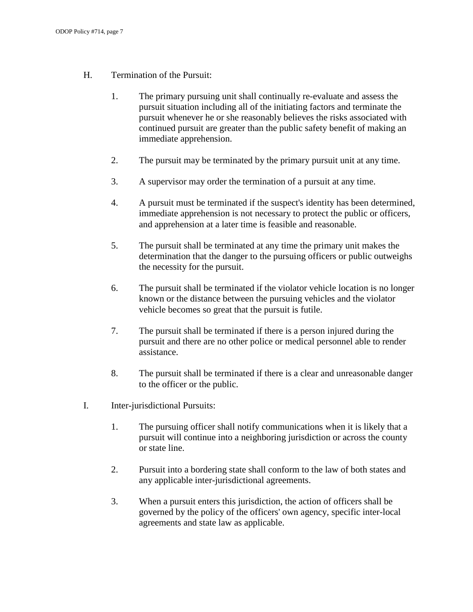- H. Termination of the Pursuit:
	- 1. The primary pursuing unit shall continually re-evaluate and assess the pursuit situation including all of the initiating factors and terminate the pursuit whenever he or she reasonably believes the risks associated with continued pursuit are greater than the public safety benefit of making an immediate apprehension.
	- 2. The pursuit may be terminated by the primary pursuit unit at any time.
	- 3. A supervisor may order the termination of a pursuit at any time.
	- 4. A pursuit must be terminated if the suspect's identity has been determined, immediate apprehension is not necessary to protect the public or officers, and apprehension at a later time is feasible and reasonable.
	- 5. The pursuit shall be terminated at any time the primary unit makes the determination that the danger to the pursuing officers or public outweighs the necessity for the pursuit.
	- 6. The pursuit shall be terminated if the violator vehicle location is no longer known or the distance between the pursuing vehicles and the violator vehicle becomes so great that the pursuit is futile.
	- 7. The pursuit shall be terminated if there is a person injured during the pursuit and there are no other police or medical personnel able to render assistance.
	- 8. The pursuit shall be terminated if there is a clear and unreasonable danger to the officer or the public.
- I. Inter-jurisdictional Pursuits:
	- 1. The pursuing officer shall notify communications when it is likely that a pursuit will continue into a neighboring jurisdiction or across the county or state line.
	- 2. Pursuit into a bordering state shall conform to the law of both states and any applicable inter-jurisdictional agreements.
	- 3. When a pursuit enters this jurisdiction, the action of officers shall be governed by the policy of the officers' own agency, specific inter-local agreements and state law as applicable.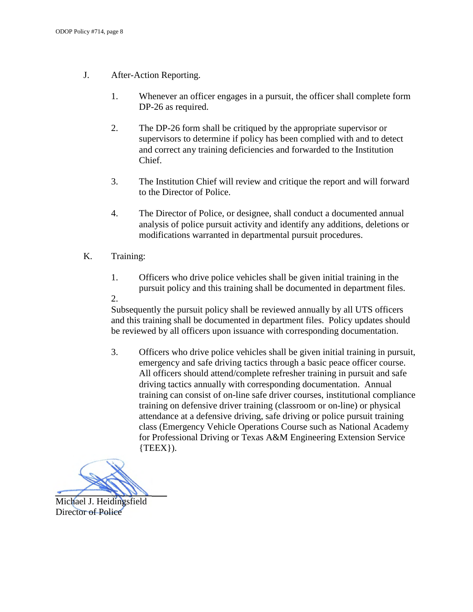- J. After-Action Reporting.
	- 1. Whenever an officer engages in a pursuit, the officer shall complete form DP-26 as required.
	- 2. The DP-26 form shall be critiqued by the appropriate supervisor or supervisors to determine if policy has been complied with and to detect and correct any training deficiencies and forwarded to the Institution Chief.
	- 3. The Institution Chief will review and critique the report and will forward to the Director of Police.
	- 4. The Director of Police, or designee, shall conduct a documented annual analysis of police pursuit activity and identify any additions, deletions or modifications warranted in departmental pursuit procedures.
- K. Training:
	- 1. Officers who drive police vehicles shall be given initial training in the pursuit policy and this training shall be documented in department files.
	- 2.

Subsequently the pursuit policy shall be reviewed annually by all UTS officers and this training shall be documented in department files. Policy updates should be reviewed by all officers upon issuance with corresponding documentation.

3. Officers who drive police vehicles shall be given initial training in pursuit, emergency and safe driving tactics through a basic peace officer course. All officers should attend/complete refresher training in pursuit and safe driving tactics annually with corresponding documentation. Annual training can consist of on-line safe driver courses, institutional compliance training on defensive driver training (classroom or on-line) or physical attendance at a defensive driving, safe driving or police pursuit training class (Emergency Vehicle Operations Course such as National Academy for Professional Driving or Texas A&M Engineering Extension Service  $\{TEEX\}$ ).

Michael J. Heidingsfield Director of Police